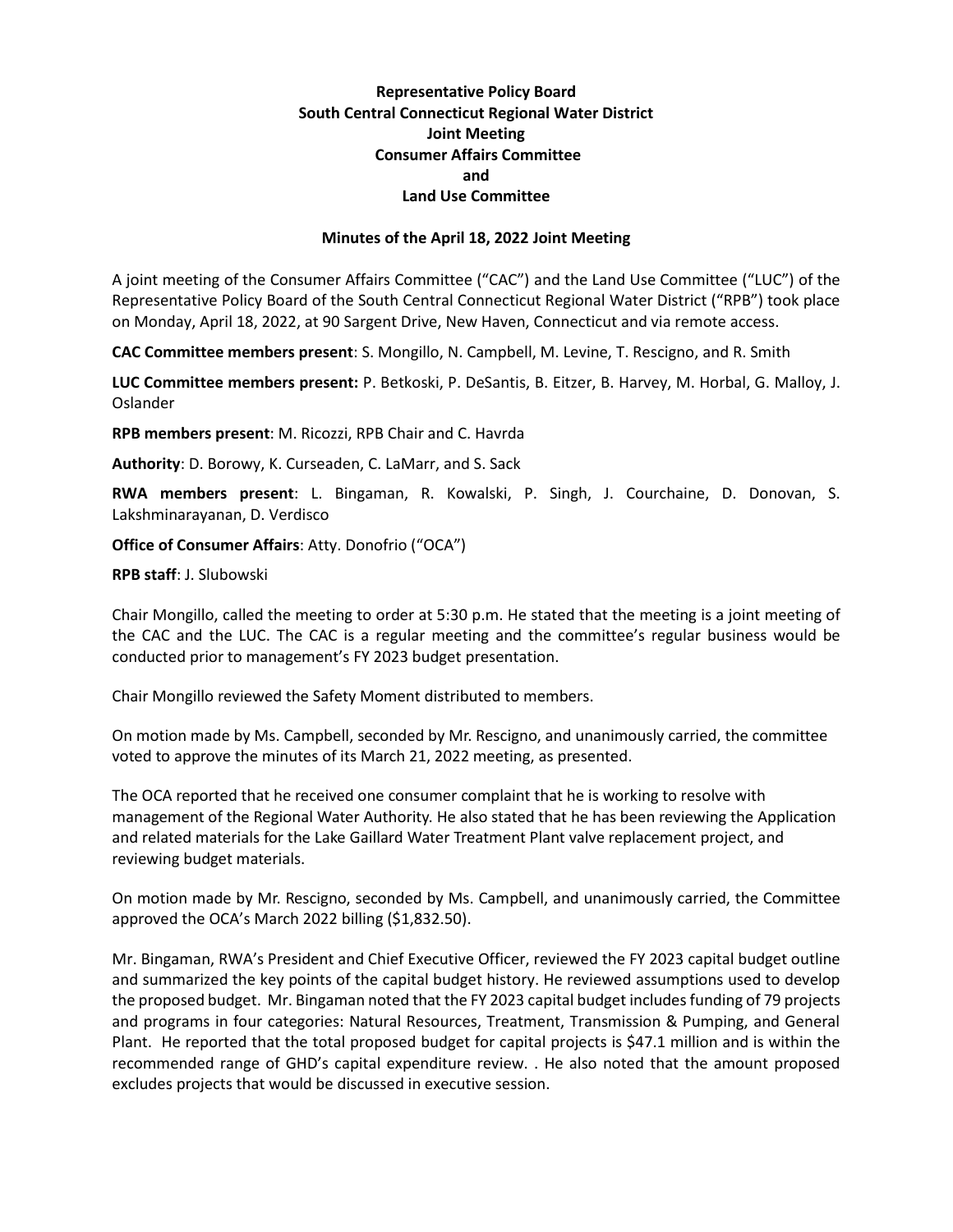## **Representative Policy Board South Central Connecticut Regional Water District Joint Meeting Consumer Affairs Committee and Land Use Committee**

## **Minutes of the April 18, 2022 Joint Meeting**

A joint meeting of the Consumer Affairs Committee ("CAC") and the Land Use Committee ("LUC") of the Representative Policy Board of the South Central Connecticut Regional Water District ("RPB") took place on Monday, April 18, 2022, at 90 Sargent Drive, New Haven, Connecticut and via remote access.

**CAC Committee members present**: S. Mongillo, N. Campbell, M. Levine, T. Rescigno, and R. Smith

**LUC Committee members present:** P. Betkoski, P. DeSantis, B. Eitzer, B. Harvey, M. Horbal, G. Malloy, J. Oslander

**RPB members present**: M. Ricozzi, RPB Chair and C. Havrda

**Authority**: D. Borowy, K. Curseaden, C. LaMarr, and S. Sack

**RWA members present**: L. Bingaman, R. Kowalski, P. Singh, J. Courchaine, D. Donovan, S. Lakshminarayanan, D. Verdisco

**Office of Consumer Affairs**: Atty. Donofrio ("OCA")

**RPB staff**: J. Slubowski

Chair Mongillo, called the meeting to order at 5:30 p.m. He stated that the meeting is a joint meeting of the CAC and the LUC. The CAC is a regular meeting and the committee's regular business would be conducted prior to management's FY 2023 budget presentation.

Chair Mongillo reviewed the Safety Moment distributed to members.

On motion made by Ms. Campbell, seconded by Mr. Rescigno, and unanimously carried, the committee voted to approve the minutes of its March 21, 2022 meeting, as presented.

The OCA reported that he received one consumer complaint that he is working to resolve with management of the Regional Water Authority. He also stated that he has been reviewing the Application and related materials for the Lake Gaillard Water Treatment Plant valve replacement project, and reviewing budget materials.

On motion made by Mr. Rescigno, seconded by Ms. Campbell, and unanimously carried, the Committee approved the OCA's March 2022 billing (\$1,832.50).

Mr. Bingaman, RWA's President and Chief Executive Officer, reviewed the FY 2023 capital budget outline and summarized the key points of the capital budget history. He reviewed assumptions used to develop the proposed budget. Mr. Bingaman noted that the FY 2023 capital budget includes funding of 79 projects and programs in four categories: Natural Resources, Treatment, Transmission & Pumping, and General Plant. He reported that the total proposed budget for capital projects is \$47.1 million and is within the recommended range of GHD's capital expenditure review. . He also noted that the amount proposed excludes projects that would be discussed in executive session.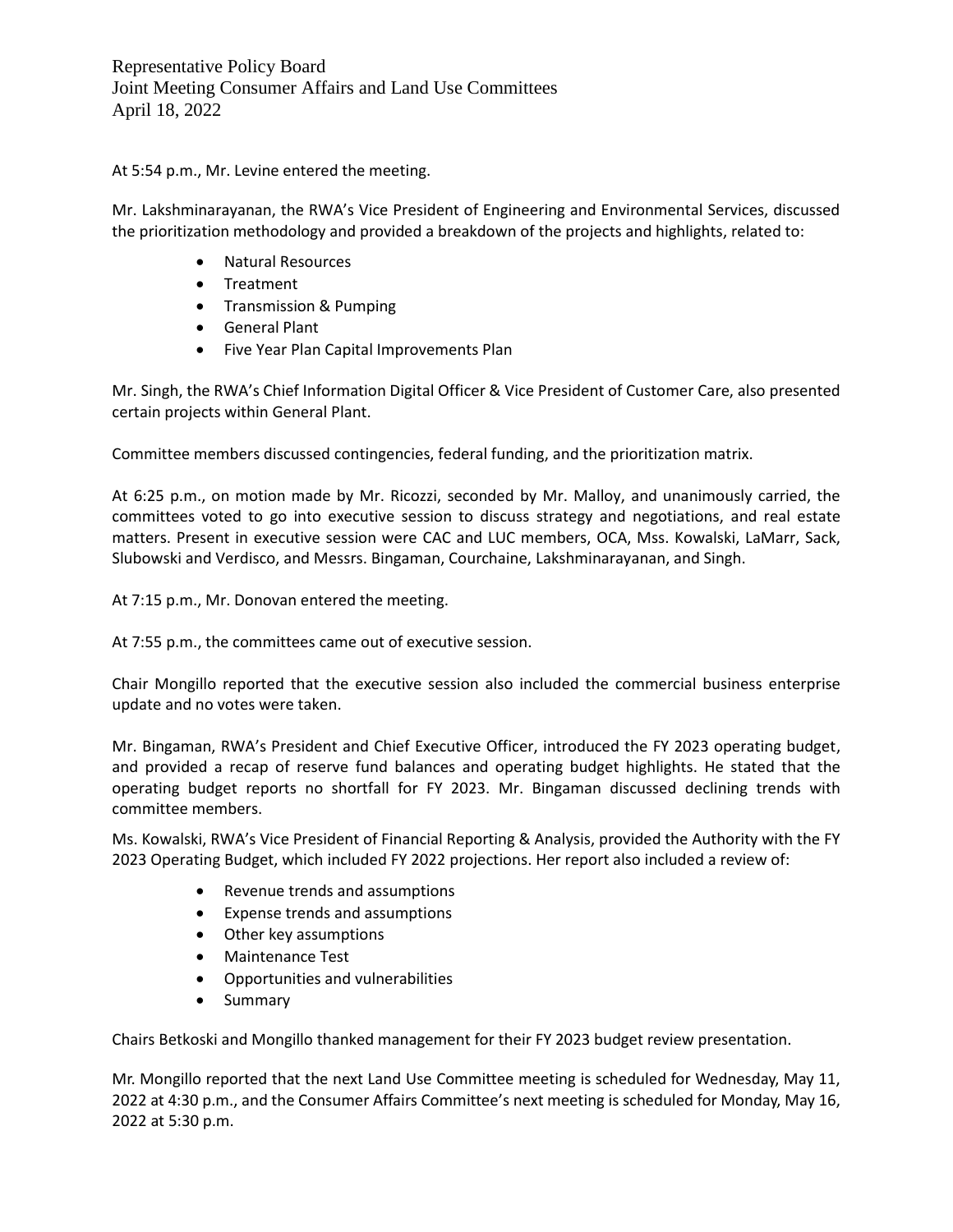Representative Policy Board Joint Meeting Consumer Affairs and Land Use Committees April 18, 2022

At 5:54 p.m., Mr. Levine entered the meeting.

Mr. Lakshminarayanan, the RWA's Vice President of Engineering and Environmental Services, discussed the prioritization methodology and provided a breakdown of the projects and highlights, related to:

- Natural Resources
- Treatment
- Transmission & Pumping
- General Plant
- Five Year Plan Capital Improvements Plan

Mr. Singh, the RWA's Chief Information Digital Officer & Vice President of Customer Care, also presented certain projects within General Plant.

Committee members discussed contingencies, federal funding, and the prioritization matrix.

At 6:25 p.m., on motion made by Mr. Ricozzi, seconded by Mr. Malloy, and unanimously carried, the committees voted to go into executive session to discuss strategy and negotiations, and real estate matters. Present in executive session were CAC and LUC members, OCA, Mss. Kowalski, LaMarr, Sack, Slubowski and Verdisco, and Messrs. Bingaman, Courchaine, Lakshminarayanan, and Singh.

At 7:15 p.m., Mr. Donovan entered the meeting.

At 7:55 p.m., the committees came out of executive session.

Chair Mongillo reported that the executive session also included the commercial business enterprise update and no votes were taken.

Mr. Bingaman, RWA's President and Chief Executive Officer, introduced the FY 2023 operating budget, and provided a recap of reserve fund balances and operating budget highlights. He stated that the operating budget reports no shortfall for FY 2023. Mr. Bingaman discussed declining trends with committee members.

Ms. Kowalski, RWA's Vice President of Financial Reporting & Analysis, provided the Authority with the FY 2023 Operating Budget, which included FY 2022 projections. Her report also included a review of:

- Revenue trends and assumptions
- Expense trends and assumptions
- Other key assumptions
- Maintenance Test
- Opportunities and vulnerabilities
- Summary

Chairs Betkoski and Mongillo thanked management for their FY 2023 budget review presentation.

Mr. Mongillo reported that the next Land Use Committee meeting is scheduled for Wednesday, May 11, 2022 at 4:30 p.m., and the Consumer Affairs Committee's next meeting is scheduled for Monday, May 16, 2022 at 5:30 p.m.